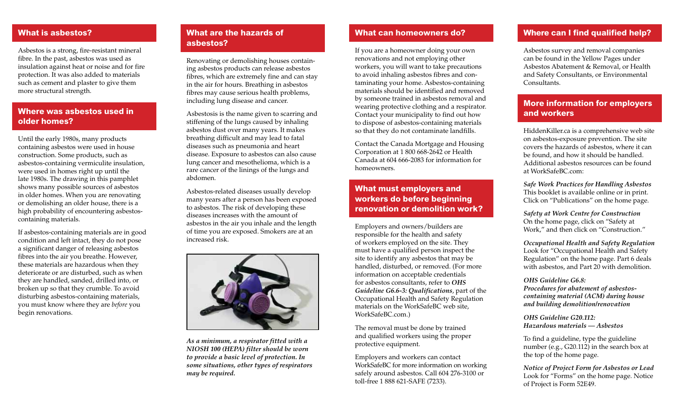#### What is asbestos?

Asbestos is a strong, fire-resistant mineral fibre. In the past, asbestos was used as insulation against heat or noise and for fire protection. It was also added to materials such as cement and plaster to give them more structural strength.

## Where was asbestos used in older homes?

Until the early 1980s, many products containing asbestos were used in house construction. Some products, such as asbestos-containing vermiculite insulation, were used in homes right up until the late 1980s. The drawing in this pamphlet shows many possible sources of asbestos in older homes. When you are renovating or demolishing an older house, there is a high probability of encountering asbestoscontaining materials.

If asbestos-containing materials are in good condition and left intact, they do not pose a significant danger of releasing asbestos fibres into the air you breathe. However, these materials are hazardous when they deteriorate or are disturbed, such as when they are handled, sanded, drilled into, or broken up so that they crumble. To avoid disturbing asbestos-containing materials, you must know where they are *before* you begin renovations.

#### What are the hazards of asbestos?

Renovating or demolishing houses containing asbestos products can release asbestos fibres, which are extremely fine and can stay in the air for hours. Breathing in asbestos fibres may cause serious health problems, including lung disease and cancer.

Asbestosis is the name given to scarring and stiffening of the lungs caused by inhaling asbestos dust over many years. It makes breathing difficult and may lead to fatal diseases such as pneumonia and heart disease. Exposure to asbestos can also cause lung cancer and mesothelioma, which is a rare cancer of the linings of the lungs and abdomen.

Asbestos-related diseases usually develop many years after a person has been exposed to asbestos. The risk of developing these diseases increases with the amount of asbestos in the air you inhale and the length of time you are exposed. Smokers are at an increased risk.



*As a minimum, a respirator fitted with a NIOSH 100 (HEPA) filter should be worn to provide a basic level of protection. In some situations, other types of respirators may be required.*

# What can homeowners do?

If you are a homeowner doing your own renovations and not employing other workers, you will want to take precautions to avoid inhaling asbestos fibres and contaminating your home. Asbestos-containing materials should be identified and removed by someone trained in asbestos removal and wearing protective clothing and a respirator. Contact your municipality to find out how to dispose of asbestos-containing materials so that they do not contaminate landfills.

Contact the Canada Mortgage and Housing Corporation at 1 800 668-2642 or Health Canada at 604 666-2083 for information for homeowners.

# What must employers and workers do before beginning renovation or demolition work?

Employers and owners/builders are responsible for the health and safety of workers employed on the site. They must have a qualified person inspect the site to identify any asbestos that may be handled, disturbed, or removed. (For more information on acceptable credentials for asbestos consultants, refer to *OHS Guideline G6.6-3: Qualifications*, part of the [Occupational Health and Safety Regulation](http://www2.worksafebc.com/Publications/OHSRegulation/GuidelinePart6.asp#SectionNumber:G6.6-3)  materials on the WorkSafeBC web site, WorkSafeBC.com.)

The removal must be done by trained and qualified workers using the proper protective equipment.

Employers and workers can contact WorkSafeBC for more information on working safely around asbestos. Call 604 276-3100 or toll-free 1 888 621-SAFE (7233).

#### Where can I find qualified help?

Asbestos survey and removal companies can be found in the Yellow Pages under Asbestos Abatement & Removal, or Health and Safety Consultants, or Environmental Consultants.

## More information for employers and workers

[HiddenKiller.ca is a](http://www.hiddenkiller.ca) comprehensive web site on asbestos-exposure prevention. The site covers the hazards of asbestos, where it can be found, and how it should be handled. Additional asbestos resources can be found [at WorkSafeBC.com:](www.worksafebc.com)

*[Safe Work Practices for Handling Asbestos](http://www.worksafebc.com/publications/health_and_safety/by_topic/assets/pdf/asbestos.pdf)*  This booklet is available online or in print. Click on "Publications" on the home page.

*Safety at Work Centre for Construction*  On the home page, click on "Safety at [Work," and then click on "Construction."](http://www2.worksafebc.com/Portals/Construction/Home.asp)

*[Occupational Health and Safety Regulation](http://www2.worksafebc.com/Publications/OHSRegulation/Home.asp)*  Look for "Occupational Health and Safety Regulation" on the home page. Part 6 deals with asbestos, and Part 20 with demolition.

*OHS Guideline G6.8:* 

*Procedures for abatement of asbestos[containing material \(ACM\) during house](http://www2.worksafebc.com/Publications/OHSRegulation/GuidelinePart6.asp#SectionNumber:G6.8)  and building demolition/renovation*

*OHS Guideline G20.112: [Hazardous materials — Asbestos](http://www2.worksafebc.com/Publications/OHSRegulation/GuidelinePart20.asp#SectionNumber:G20.112)*

To find a guideline, type the guideline number (e.g., G20.112) in the search box at the top of the home page.

*[Notice of Project Form for Asbestos or Lead](http://www.worksafebc.com/insurance/managing_your_account/notice_of_project/default.asp)*  Look for "Forms" on the home page. Notice of Project is Form 52E49.